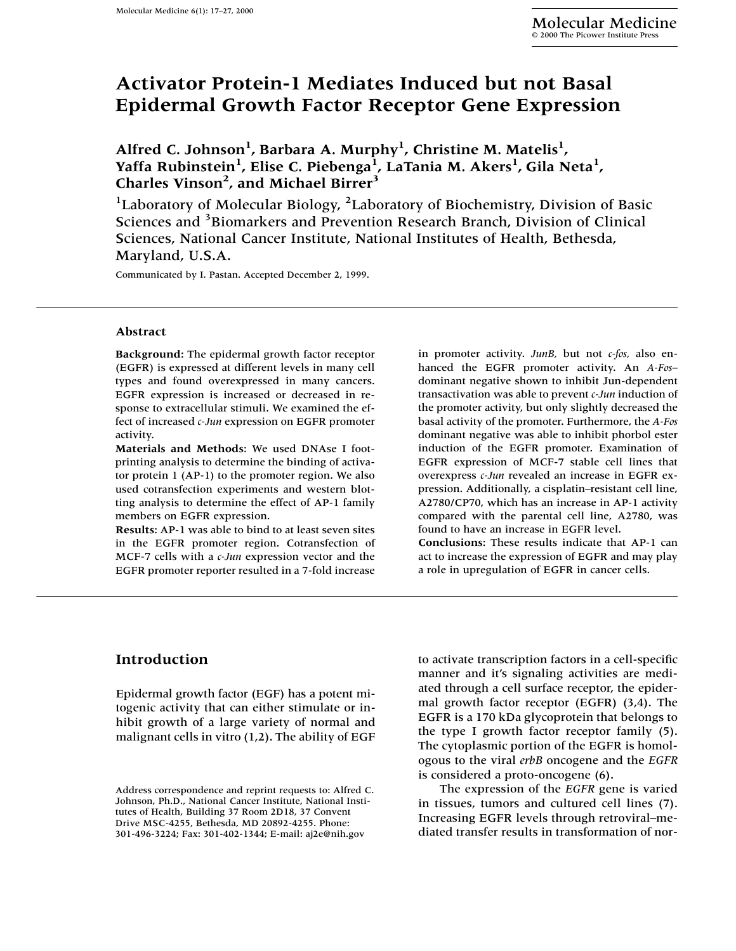# **Activator Protein-1 Mediates Induced but not Basal Epidermal Growth Factor Receptor Gene Expression**

Alfred C. Johnson<sup>1</sup>, Barbara A. Murphy<sup>1</sup>, Christine M. Matelis<sup>1</sup>, Yaffa Rubinstein<sup>1</sup>, Elise C. Piebenga<sup>1</sup>, LaTania M. Akers<sup>1</sup>, Gila Neta<sup>1</sup>, **Charles Vinson2 , and Michael Birrer3**

<sup>1</sup>Laboratory of Molecular Biology, <sup>2</sup>Laboratory of Biochemistry, Division of Basic Sciences and <sup>3</sup>Biomarkers and Prevention Research Branch, Division of Clinical Sciences, National Cancer Institute, National Institutes of Health, Bethesda, Maryland, U.S.A.

Communicated by I. Pastan. Accepted December 2, 1999.

#### **Abstract**

**Background:** The epidermal growth factor receptor (EGFR) is expressed at different levels in many cell types and found overexpressed in many cancers. EGFR expression is increased or decreased in response to extracellular stimuli. We examined the effect of increased *c-Jun* expression on EGFR promoter activity.

**Materials and Methods:** We used DNAse I footprinting analysis to determine the binding of activator protein 1 (AP-1) to the promoter region. We also used cotransfection experiments and western blotting analysis to determine the effect of AP-1 family members on EGFR expression.

**Results:** AP-1 was able to bind to at least seven sites in the EGFR promoter region. Cotransfection of MCF-7 cells with a *c-Jun* expression vector and the EGFR promoter reporter resulted in a 7-fold increase

in promoter activity. *JunB,* but not *c-fos,* also enhanced the EGFR promoter activity. An *A-Fos*– dominant negative shown to inhibit Jun-dependent transactivation was able to prevent *c-Jun* induction of the promoter activity, but only slightly decreased the basal activity of the promoter. Furthermore, the *A-Fos* dominant negative was able to inhibit phorbol ester induction of the EGFR promoter. Examination of EGFR expression of MCF-7 stable cell lines that overexpress *c-Jun* revealed an increase in EGFR expression. Additionally, a cisplatin–resistant cell line, A2780/CP70, which has an increase in AP-1 activity compared with the parental cell line, A2780, was found to have an increase in EGFR level.

**Conclusions:** These results indicate that AP-1 can act to increase the expression of EGFR and may play a role in upregulation of EGFR in cancer cells.

## **Introduction**

Epidermal growth factor (EGF) has a potent mitogenic activity that can either stimulate or inhibit growth of a large variety of normal and malignant cells in vitro (1,2). The ability of EGF

to activate transcription factors in a cell-specific manner and it's signaling activities are mediated through a cell surface receptor, the epidermal growth factor receptor (EGFR) (3,4). The EGFRis a 170 kDa glycoprotein that belongs to the type I growth factor receptor family (5). The cytoplasmic portion of the EGFR is homologous to the viral *erbB* oncogene and the *EGFR* is considered a proto-oncogene (6).

The expression of the *EGFR* gene is varied in tissues, tumors and cultured cell lines (7). Increasing EGFR levels through retroviral–mediated transfer results in transformation of nor-

Address correspondence and reprint requests to: Alfred C. Johnson, Ph.D., National Cancer Institute, National Institutes of Health, Building 37 Room 2D18, 37 Convent Drive MSC-4255, Bethesda, MD 20892-4255. Phone: 301-496-3224; Fax: 301-402-1344; E-mail: aj2e@nih.gov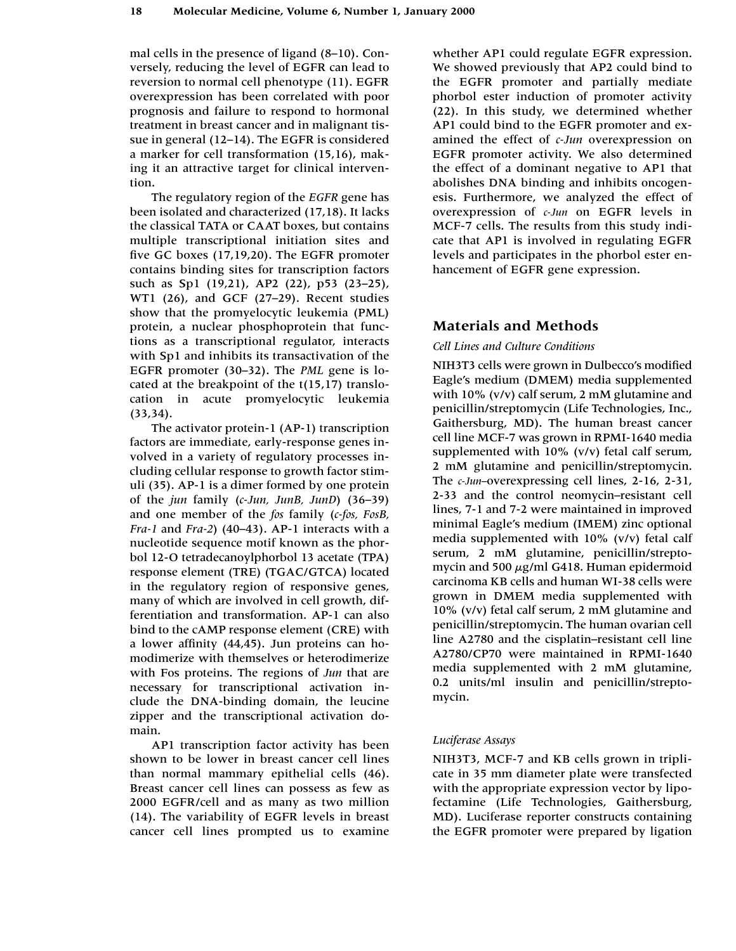mal cells in the presence of ligand (8–10). Conversely, reducing the level of EGFR can lead to reversion to normal cell phenotype (11). EGFR overexpression has been correlated with poor prognosis and failure to respond to hormonal treatment in breast cancer and in malignant tissue in general (12–14). The EGFR is considered a marker for cell transformation (15,16), making it an attractive target for clinical intervention.

The regulatory region of the *EGFR* gene has been isolated and characterized (17,18). It lacks the classical TATA or CAAT boxes, but contains multiple transcriptional initiation sites and five GC boxes (17,19,20). The EGFR promoter contains binding sites for transcription factors such as Sp1 (19,21), AP2 (22), p53 (23–25), WT1 (26), and GCF (27–29). Recent studies show that the promyelocytic leukemia (PML) protein, a nuclear phosphoprotein that functions as a transcriptional regulator, interacts with Sp1 and inhibits its transactivation of the EGFR promoter (30–32). The *PML* gene is located at the breakpoint of the t(15,17) translocation in acute promyelocytic leukemia (33,34).

The activator protein-1 (AP-1) transcription factors are immediate, early-response genes involved in a variety of regulatory processes including cellular response to growth factor stimuli (35). AP-1 is a dimer formed by one protein of the *jun* family (*c-Jun, JunB, JunD*) (36–39) and one member of the *fos* family (*c-fos, FosB, Fra-1* and *Fra-2*) (40–43). AP-1 interacts with a nucleotide sequence motif known as the phorbol 12-O tetradecanoylphorbol 13 acetate (TPA) response element (TRE) (TGAC/GTCA) located in the regulatory region of responsive genes, many of which are involved in cell growth, differentiation and transformation. AP-1 can also bind to the cAMP response element (CRE) with a lower affinity (44,45). Jun proteins can homodimerize with themselves or heterodimerize with Fos proteins. The regions of *Jun* that are necessary for transcriptional activation include the DNA-binding domain, the leucine zipper and the transcriptional activation domain.

AP1 transcription factor activity has been shown to be lower in breast cancer cell lines than normal mammary epithelial cells (46). Breast cancer cell lines can possess as few as 2000 EGFR/cell and as many as two million (14). The variability of EGFR levels in breast cancer cell lines prompted us to examine

whether AP1 could regulate EGFR expression. We showed previously that AP2 could bind to the EGFR promoter and partially mediate phorbol ester induction of promoter activity (22). In this study, we determined whether AP1 could bind to the EGFR promoter and examined the effect of *c-Jun* overexpression on EGFR promoter activity. We also determined the effect of a dominant negative to AP1 that abolishes DNA binding and inhibits oncogenesis. Furthermore, we analyzed the effect of overexpression of *c-Jun* on EGFR levels in MCF-7 cells. The results from this study indicate that AP1 is involved in regulating EGFR levels and participates in the phorbol ester enhancement of EGFR gene expression.

# **Materials and Methods**

## *Cell Lines and Culture Conditions*

NIH3T3 cells were grown in Dulbecco's modified Eagle's medium (DMEM) media supplemented with 10% (v/v) calf serum, 2 mM glutamine and penicillin/streptomycin (Life Technologies, Inc., Gaithersburg, MD). The human breast cancer cell line MCF-7 was grown in RPMI-1640 media supplemented with 10% (v/v) fetal calf serum, 2 mM glutamine and penicillin/streptomycin. The *c-Jun–*overexpressing cell lines, 2-16, 2-31, 2-33 and the control neomycin–resistant cell lines, 7-1 and 7-2 were maintained in improved minimal Eagle's medium (IMEM) zinc optional media supplemented with 10% (v/v) fetal calf serum, 2 mM glutamine, penicillin/streptomycin and 500  $\mu$ g/ml G418. Human epidermoid carcinoma KB cells and human WI-38 cells were grown in DMEM media supplemented with 10% (v/v) fetal calf serum, 2 mM glutamine and penicillin/streptomycin. The human ovarian cell line A2780 and the cisplatin–resistant cell line A2780/CP70 were maintained in RPMI-1640 media supplemented with 2 mM glutamine, 0.2 units/ml insulin and penicillin/streptomycin.

## *Luciferase Assays*

NIH3T3, MCF-7 and KB cells grown in triplicate in 35 mm diameter plate were transfected with the appropriate expression vector by lipofectamine (Life Technologies, Gaithersburg, MD). Luciferase reporter constructs containing the EGFR promoter were prepared by ligation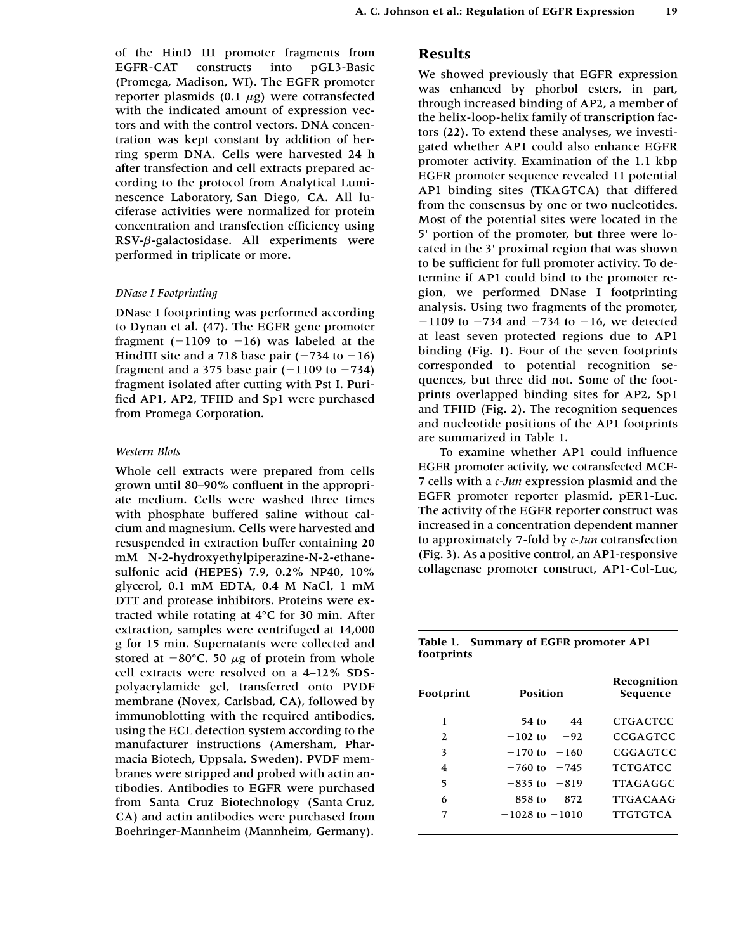of the HinD III promoter fragments from EGFR-CAT constructs into pGL3-Basic (Promega, Madison, WI). The EGFR promoter reporter plasmids  $(0.1 \mu g)$  were cotransfected with the indicated amount of expression vectors and with the control vectors. DNA concentration was kept constant by addition of herring sperm DNA. Cells were harvested 24 h after transfection and cell extracts prepared according to the protocol from Analytical Luminescence Laboratory, San Diego, CA. All luciferase activities were normalized for protein concentration and transfection efficiency using RSV- $\beta$ -galactosidase. All experiments were performed in triplicate or more.

#### *DNase I Footprinting*

DNase I footprinting was performed according to Dynan et al. (47). The EGFR gene promoter fragment  $(-1109$  to  $-16)$  was labeled at the HindIII site and a 718 base pair  $(-734$  to  $-16)$ fragment and a 375 base pair  $(-1109$  to  $-734)$ fragment isolated after cutting with Pst I. Purified AP1, AP2, TFIID and Sp1 were purchased from Promega Corporation.

#### *Western Blots*

Whole cell extracts were prepared from cells grown until 80–90% confluent in the appropriate medium. Cells were washed three times with phosphate buffered saline without calcium and magnesium. Cells were harvested and resuspended in extraction buffer containing 20 mM N-2-hydroxyethylpiperazine-N-2-ethanesulfonic acid (HEPES) 7.9, 0.2% NP40, 10% glycerol, 0.1 mM EDTA, 0.4 M NaCl, 1 mM DTT and protease inhibitors. Proteins were extracted while rotating at 4°C for 30 min. After extraction, samples were centrifuged at 14,000 g for 15 min. Supernatants were collected and stored at  $-80^{\circ}$ C. 50  $\mu$ g of protein from whole cell extracts were resolved on a 4–12% SDSpolyacrylamide gel, transferred onto PVDF membrane (Novex, Carlsbad, CA), followed by immunoblotting with the required antibodies, using the ECL detection system according to the manufacturer instructions (Amersham, Pharmacia Biotech, Uppsala, Sweden). PVDF membranes were stripped and probed with actin antibodies. Antibodies to EGFR were purchased from Santa Cruz Biotechnology (Santa Cruz, CA) and actin antibodies were purchased from Boehringer-Mannheim (Mannheim, Germany).

## **Results**

We showed previously that EGFR expression was enhanced by phorbol esters, in part, through increased binding of AP2, a member of the helix-loop-helix family of transcription factors (22). To extend these analyses, we investigated whether AP1 could also enhance EGFR promoter activity. Examination of the 1.1 kbp EGFR promoter sequence revealed 11 potential AP1 binding sites (TKAGTCA) that differed from the consensus by one or two nucleotides. Most of the potential sites were located in the 5' portion of the promoter, but three were located in the 3' proximal region that was shown to be sufficient for full promoter activity. To determine if AP1 could bind to the promoter region, we performed DNase I footprinting analysis. Using two fragments of the promoter,  $-1109$  to  $-734$  and  $-734$  to  $-16$ , we detected at least seven protected regions due to AP1 binding (Fig. 1). Four of the seven footprints corresponded to potential recognition sequences, but three did not. Some of the footprints overlapped binding sites for AP2, Sp1 and TFIID (Fig. 2). The recognition sequences and nucleotide positions of the AP1 footprints are summarized in Table 1.

To examine whether AP1 could influence EGFR promoter activity, we cotransfected MCF-7 cells with a *c-Jun* expression plasmid and the EGFR promoter reporter plasmid, pER1-Luc. The activity of the EGFR reporter construct was increased in a concentration dependent manner to approximately 7-fold by *c-Jun* cotransfection (Fig. 3). As a positive control, an AP1-responsive collagenase promoter construct, AP1-Col-Luc,

|            | Table 1. Summary of EGFR promoter AP1 |  |
|------------|---------------------------------------|--|
| footprints |                                       |  |

| Footprint    | Position            | Recognition<br>Sequence |
|--------------|---------------------|-------------------------|
| 1            | $-54$ to<br>$-44$   | <b>CTGACTCC</b>         |
| $\mathbf{2}$ | $-92$<br>$-102$ to  | CCGAGTCC                |
| 3            | $-170$ to<br>$-160$ | CGGAGTCC                |
| 4            | $-760$ to $-745$    | <b>TCTGATCC</b>         |
| 5            | $-835$ to $-819$    | <b>TTAGAGGC</b>         |
| 6            | $-858$ to $-872$    | <b>TTGACAAG</b>         |
| 7            | $-1028$ to $-1010$  | <b>TTGTGTCA</b>         |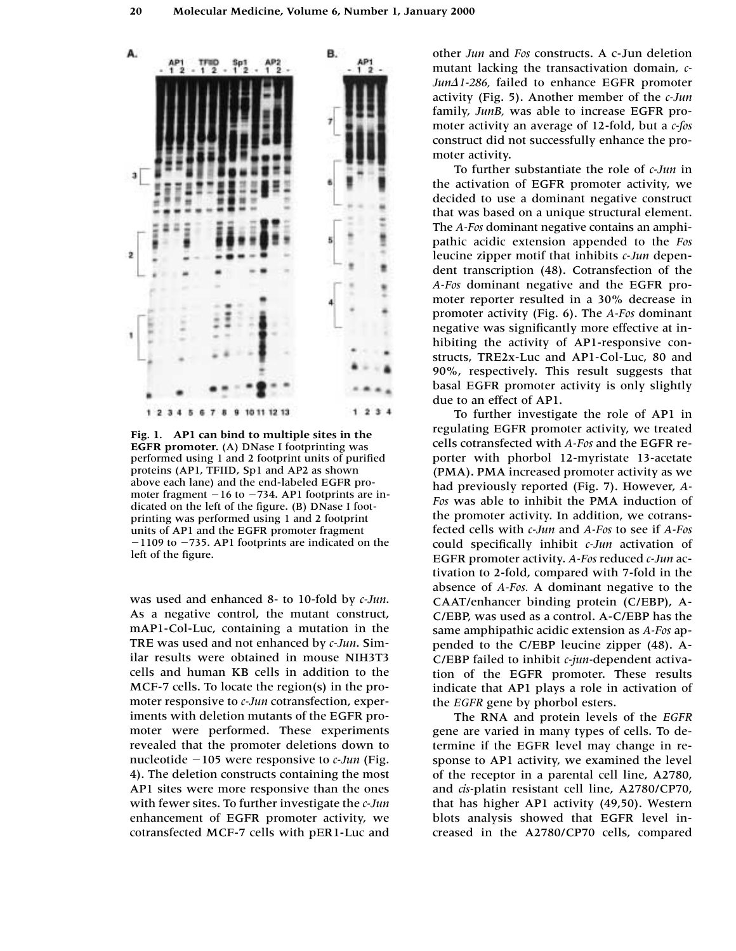

**Fig. 1. AP1 can bind to multiple sites in the EGFR promoter.** (A) DNase I footprinting was performed using 1 and 2 footprint units of purified proteins (AP1, TFIID, Sp1 and AP2 as shown above each lane) and the end-labeled EGFR promoter fragment  $-16$  to  $-734$ . AP1 footprints are indicated on the left of the figure. (B) DNase I footprinting was performed using 1 and 2 footprint units of AP1 and the EGFR promoter fragment  $-1109$  to  $-735$ . AP1 footprints are indicated on the left of the figure.

was used and enhanced 8- to 10-fold by *c-Jun*. As a negative control, the mutant construct, mAP1-Col-Luc, containing a mutation in the TRE was used and not enhanced by *c-Jun*. Similar results were obtained in mouse NIH3T3 cells and human KB cells in addition to the MCF-7 cells. To locate the region(s) in the promoter responsive to *c-Jun* cotransfection, experiments with deletion mutants of the EGFR promoter were performed. These experiments revealed that the promoter deletions down to nucleotide -105 were responsive to *c-Jun* (Fig. 4). The deletion constructs containing the most AP1 sites were more responsive than the ones with fewer sites. To further investigate the *c-Jun* enhancement of EGFR promoter activity, we cotransfected MCF-7 cells with pER1-Luc and other *Jun* and *Fos* constructs. A c-Jun deletion mutant lacking the transactivation domain, *c-Jun1-286,* failed to enhance EGFR promoter activity (Fig. 5). Another member of the *c-Jun* family, *JunB,* was able to increase EGFR promoter activity an average of 12-fold, but a *c-fos* construct did not successfully enhance the promoter activity.

To further substantiate the role of *c-Jun* in the activation of EGFR promoter activity, we decided to use a dominant negative construct that was based on a unique structural element. The *A-Fos* dominant negative contains an amphipathic acidic extension appended to the *Fos* leucine zipper motif that inhibits *c-Jun* dependent transcription (48). Cotransfection of the *A-Fos* dominant negative and the EGFR promoter reporter resulted in a 30% decrease in promoter activity (Fig. 6). The *A-Fos* dominant negative was significantly more effective at inhibiting the activity of AP1-responsive constructs, TRE2x-Luc and AP1-Col-Luc, 80 and 90%, respectively. This result suggests that basal EGFR promoter activity is only slightly due to an effect of AP1.

To further investigate the role of AP1 in regulating EGFR promoter activity, we treated cells cotransfected with *A-Fos* and the EGFR reporter with phorbol 12-myristate 13-acetate (PMA). PMA increased promoter activity as we had previously reported (Fig. 7). However, *A-Fos* was able to inhibit the PMA induction of the promoter activity. In addition, we cotransfected cells with *c-Jun* and *A-Fos* to see if *A-Fos* could specifically inhibit *c-Jun* activation of EGFR promoter activity. *A-Fos* reduced *c-Jun* activation to 2-fold, compared with 7-fold in the absence of *A-Fos.* A dominant negative to the CAAT/enhancer binding protein (C/EBP), A-C/EBP, was used as a control. A-C/EBP has the same amphipathic acidic extension as *A-Fos* appended to the C/EBP leucine zipper (48). A-C/EBP failed to inhibit *c-jun-*dependent activation of the EGFR promoter. These results indicate that AP1 plays a role in activation of the *EGFR* gene by phorbol esters.

The RNA and protein levels of the *EGFR* gene are varied in many types of cells. To determine if the EGFR level may change in response to AP1 activity, we examined the level of the receptor in a parental cell line, A2780, and *cis-*platin resistant cell line, A2780/CP70, that has higher AP1 activity (49,50). Western blots analysis showed that EGFR level increased in the A2780/CP70 cells, compared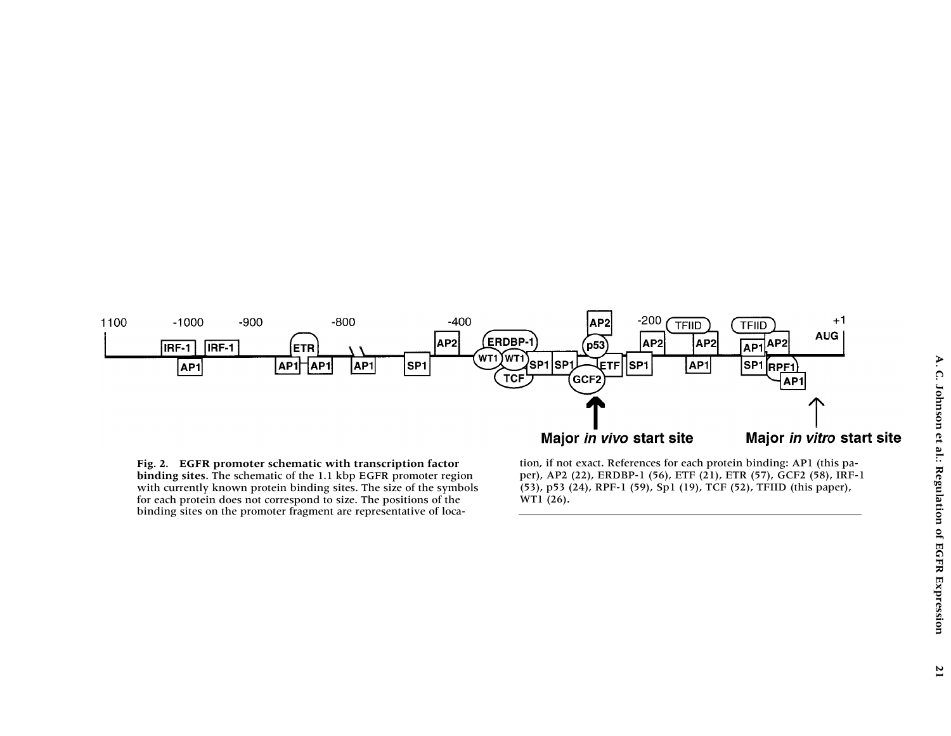

**Fig. 2. EGFR promoter schematic with transcription factor binding sites.** The schematic of the 1.1 kbp EGFR promoter region with currently known protein binding sites. The size of the symbols for each protein does not correspond to size. The positions of the binding sites on the promoter fragment are representative of location, if not exact. References for each protein binding: AP1 (this pa per), AP2 (22), ERDBP-1 (56), ETF (21), ETR (57), GCF2 (58), IRF-1 (53), p53 (24), RPF-1 (59), Sp1 (19), TCF (52), TFIID (this paper), WT1 (26).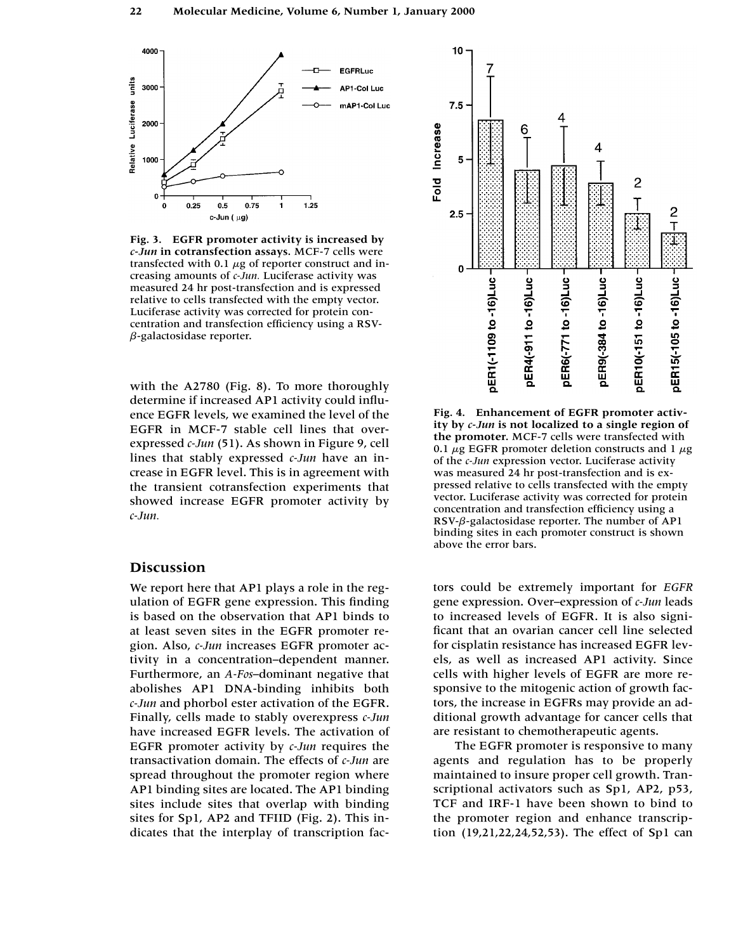

**Fig. 3. EGFR promoter activity is increased by**  *c-Jun* **in cotransfection assays.** MCF-7 cells were transfected with 0.1  $\mu$ g of reporter construct and increasing amounts of *c-Jun.* Luciferase activity was measured 24 hr post-transfection and is expressed relative to cells transfected with the empty vector. Luciferase activity was corrected for protein concentration and transfection efficiency using a RSV- *-*-galactosidase reporter.

with the A2780 (Fig. 8). To more thoroughly determine if increased AP1 activity could influence EGFR levels, we examined the level of the EGFR in MCF-7 stable cell lines that overexpressed *c-Jun* (51). As shown in Figure 9, cell lines that stably expressed *c-Jun* have an increase in EGFR level. This is in agreement with the transient cotransfection experiments that showed increase EGFR promoter activity by *c-Jun.*

## **Discussion**

We report here that AP1 plays a role in the regulation of EGFR gene expression. This finding is based on the observation that AP1 binds to at least seven sites in the EGFR promoter region. Also, *c-Jun* increases EGFR promoter activity in a concentration–dependent manner. Furthermore, an *A-Fos*–dominant negative that abolishes AP1 DNA-binding inhibits both *c-Jun* and phorbol ester activation of the EGFR. Finally, cells made to stably overexpress *c-Jun* have increased EGFR levels. The activation of EGFR promoter activity by *c-Jun* requires the transactivation domain. The effects of *c-Jun* are spread throughout the promoter region where AP1 binding sites are located. The AP1 binding sites include sites that overlap with binding sites for Sp1, AP2 and TFIID (Fig. 2). This indicates that the interplay of transcription fac-



**Fig. 4. Enhancement of EGFR promoter activity by** *c-Jun* **is not localized to a single region of the promoter.** MCF-7 cells were transfected with 0.1  $\mu$ g EGFR promoter deletion constructs and 1  $\mu$ g of the *c-Jun* expression vector. Luciferase activity was measured 24 hr post-transfection and is expressed relative to cells transfected with the empty vector. Luciferase activity was corrected for protein concentration and transfection efficiency using a RSV- $\beta$ -galactosidase reporter. The number of AP1 binding sites in each promoter construct is shown above the error bars.

tors could be extremely important for *EGFR* gene expression. Over–expression of *c-Jun* leads to increased levels of EGFR. It is also significant that an ovarian cancer cell line selected for cisplatin resistance has increased EGFR levels, as well as increased AP1 activity. Since cells with higher levels of EGFR are more responsive to the mitogenic action of growth factors, the increase in EGFRs may provide an additional growth advantage for cancer cells that are resistant to chemotherapeutic agents.

The EGFR promoter is responsive to many agents and regulation has to be properly maintained to insure proper cell growth. Transcriptional activators such as Sp1, AP2, p53, TCF and IRF-1 have been shown to bind to the promoter region and enhance transcription (19,21,22,24,52,53). The effect of Sp1 can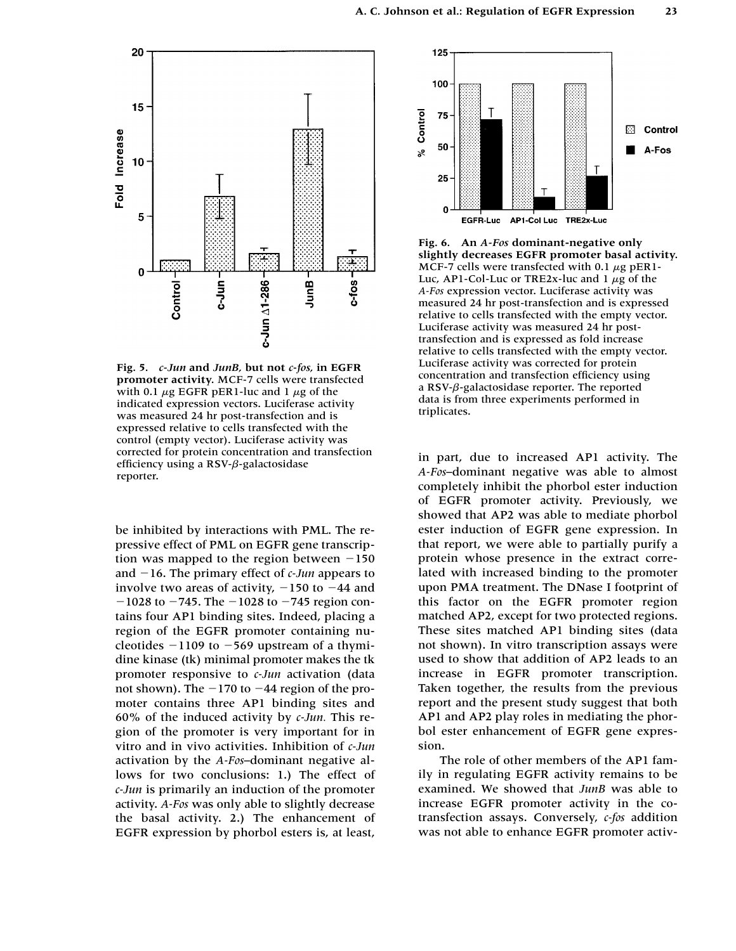

**Fig. 5.** *c-Jun* **and** *JunB,* **but not** *c-fos,* **in EGFR promoter activity.** MCF-7 cells were transfected with 0.1  $\mu$ g EGFR pER1-luc and 1  $\mu$ g of the indicated expression vectors. Luciferase activity was measured 24 hr post-transfection and is expressed relative to cells transfected with the control (empty vector). Luciferase activity was corrected for protein concentration and transfection efficiency using a RSV-β-galactosidase reporter.

be inhibited by interactions with PML. The repressive effect of PML on EGFR gene transcription was mapped to the region between  $-150$ and  $-16$ . The primary effect of  $c$ -Jun appears to involve two areas of activity,  $-150$  to  $-44$  and  $-1028$  to  $-745$ . The  $-1028$  to  $-745$  region contains four AP1 binding sites. Indeed, placing a region of the EGFR promoter containing nucleotides  $-1109$  to  $-569$  upstream of a thymidine kinase (tk) minimal promoter makes the tk promoter responsive to *c-Jun* activation (data not shown). The  $-170$  to  $-44$  region of the promoter contains three AP1 binding sites and 60% of the induced activity by *c-Jun.* This region of the promoter is very important for in vitro and in vivo activities. Inhibition of *c-Jun* activation by the *A-Fos*–dominant negative allows for two conclusions: 1.) The effect of *c-Jun* is primarily an induction of the promoter activity. *A-Fos* was only able to slightly decrease the basal activity. 2.) The enhancement of EGFR expression by phorbol esters is, at least,



**Fig. 6. An** *A-Fos* **dominant-negative only slightly decreases EGFR promoter basal activity.** MCF-7 cells were transfected with 0.1  $\mu$ g pER1-Luc, AP1-Col-Luc or TRE2x-luc and  $1 \mu$ g of the *A-Fos* expression vector. Luciferase activity was measured 24 hr post-transfection and is expressed relative to cells transfected with the empty vector. Luciferase activity was measured 24 hr posttransfection and is expressed as fold increase relative to cells transfected with the empty vector. Luciferase activity was corrected for protein concentration and transfection efficiency using a RSV- $\beta$ -galactosidase reporter. The reported data is from three experiments performed in triplicates.

in part, due to increased AP1 activity. The *A-Fos*–dominant negative was able to almost completely inhibit the phorbol ester induction of EGFR promoter activity. Previously, we showed that AP2 was able to mediate phorbol ester induction of EGFR gene expression. In that report, we were able to partially purify a protein whose presence in the extract correlated with increased binding to the promoter upon PMA treatment. The DNase I footprint of this factor on the EGFR promoter region matched AP2, except for two protected regions. These sites matched AP1 binding sites (data not shown). In vitro transcription assays were used to show that addition of AP2 leads to an increase in EGFR promoter transcription. Taken together, the results from the previous report and the present study suggest that both AP1 and AP2 play roles in mediating the phorbol ester enhancement of EGFR gene expression.

The role of other members of the AP1 family in regulating EGFR activity remains to be examined. We showed that *JunB* was able to increase EGFR promoter activity in the cotransfection assays. Conversely, *c-fos* addition was not able to enhance EGFR promoter activ-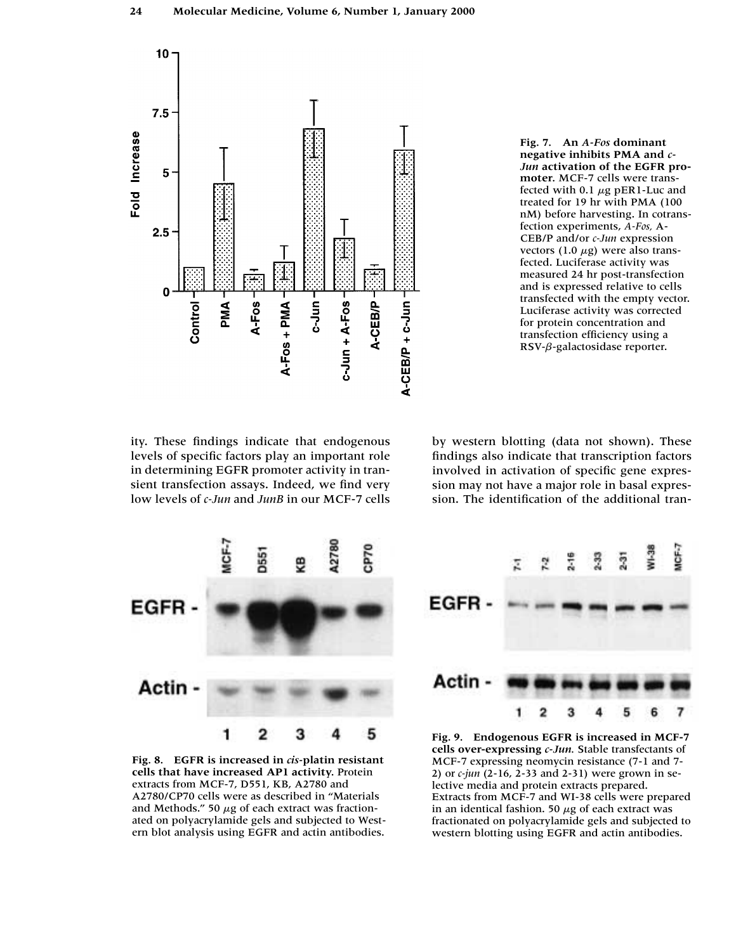

**Fig. 7. An** *A-Fos* **dominant negative inhibits PMA and** *c-Jun* **activation of the EGFR promoter.** MCF-7 cells were transfected with 0.1  $\mu$ g pER1-Luc and treated for 19 hr with PMA (100 nM) before harvesting. In cotransfection experiments, *A-Fos,* A-CEB/P and/or *c-Jun* expression vectors (1.0  $\mu$ g) were also transfected. Luciferase activity was measured 24 hr post-transfection and is expressed relative to cells transfected with the empty vector. Luciferase activity was corrected for protein concentration and transfection efficiency using a RSV- $\beta$ -galactosidase reporter.

ity. These findings indicate that endogenous levels of specific factors play an important role in determining EGFR promoter activity in transient transfection assays. Indeed, we find very low levels of *c-Jun* and *JunB* in our MCF-7 cells by western blotting (data not shown). These findings also indicate that transcription factors involved in activation of specific gene expression may not have a major role in basal expression. The identification of the additional tran-



**Fig. 8. EGFR is increased in** *cis-***platin resistant cells that have increased AP1 activity.** Protein extracts from MCF-7, D551, KB, A2780 and A2780/CP70 cells were as described in "Materials and Methods." 50  $\mu$ g of each extract was fractionated on polyacrylamide gels and subjected to Western blot analysis using EGFR and actin antibodies.



**Fig. 9. Endogenous EGFR is increased in MCF-7 cells over-expressing** *c-Jun.* Stable transfectants of MCF-7 expressing neomycin resistance (7-1 and 7- 2) or *c-jun* (2-16, 2-33 and 2-31) were grown in selective media and protein extracts prepared. Extracts from MCF-7 and WI-38 cells were prepared in an identical fashion. 50  $\mu$ g of each extract was fractionated on polyacrylamide gels and subjected to western blotting using EGFR and actin antibodies.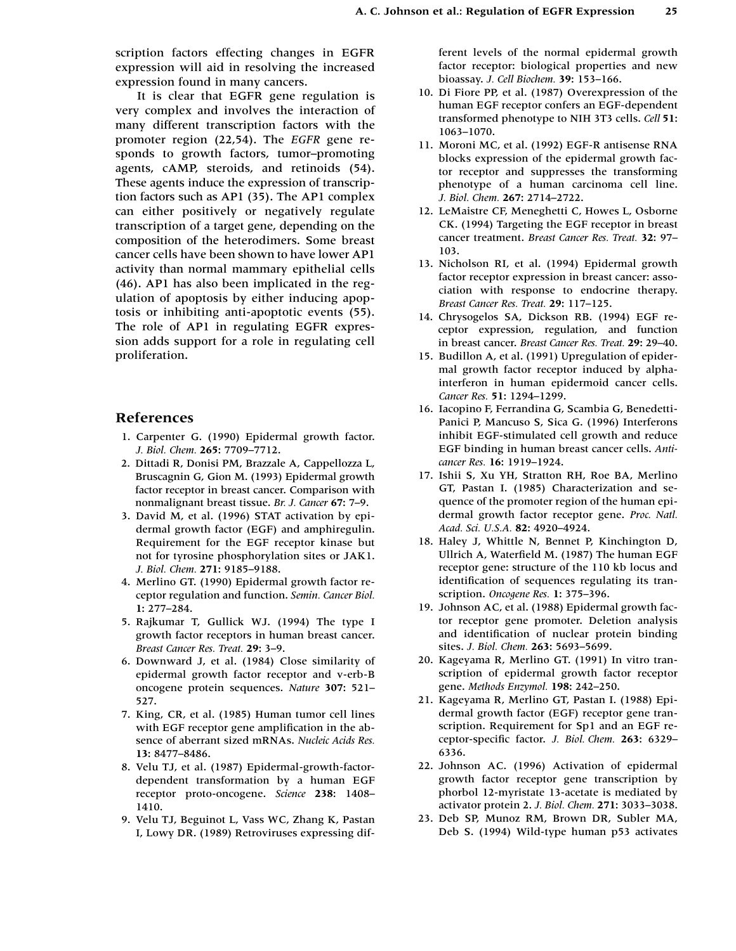scription factors effecting changes in EGFR expression will aid in resolving the increased expression found in many cancers.

It is clear that EGFR gene regulation is very complex and involves the interaction of many different transcription factors with the promoter region (22,54). The *EGFR* gene responds to growth factors, tumor–promoting agents, cAMP, steroids, and retinoids (54). These agents induce the expression of transcription factors such as AP1 (35). The AP1 complex can either positively or negatively regulate transcription of a target gene, depending on the composition of the heterodimers. Some breast cancer cells have been shown to have lower AP1 activity than normal mammary epithelial cells (46). AP1 has also been implicated in the regulation of apoptosis by either inducing apoptosis or inhibiting anti-apoptotic events (55). The role of AP1 in regulating EGFR expression adds support for a role in regulating cell proliferation.

## **References**

- 11. Carpenter G. (1990) Epidermal growth factor. *J. Biol. Chem.* **265:** 7709–7712.
- 12. Dittadi R, Donisi PM, Brazzale A, Cappellozza L, Bruscagnin G, Gion M. (1993) Epidermal growth factor receptor in breast cancer. Comparison with nonmalignant breast tissue. *Br. J. Cancer* **67:** 7–9.
- 13. David M, et al. (1996) STAT activation by epidermal growth factor (EGF) and amphiregulin. Requirement for the EGF receptor kinase but not for tyrosine phosphorylation sites or JAK1. *J. Biol. Chem.* **271:** 9185–9188.
- 14. Merlino GT. (1990) Epidermal growth factor receptor regulation and function. *Semin. Cancer Biol.* **1:** 277–284.
- 15. Rajkumar T, Gullick WJ. (1994) The type I growth factor receptors in human breast cancer. *Breast Cancer Res. Treat.* **29:** 3–9.
- 16. Downward J, et al. (1984) Close similarity of epidermal growth factor receptor and v-erb-B oncogene protein sequences. *Nature* **307:** 521– 527.
- 17. King, CR, et al. (1985) Human tumor cell lines with EGF receptor gene amplification in the absence of aberrant sized mRNAs. *Nucleic Acids Res.* **13:** 8477–8486.
- 18. Velu TJ, et al. (1987) Epidermal-growth-factordependent transformation by a human EGF receptor proto-oncogene. *Science* **238:** 1408– 1410.
- 19. Velu TJ, Beguinot L, Vass WC, Zhang K, Pastan I, Lowy DR. (1989) Retroviruses expressing dif-

ferent levels of the normal epidermal growth factor receptor: biological properties and new bioassay. *J. Cell Biochem.* **39:** 153–166.

- 10. Di Fiore PP, et al. (1987) Overexpression of the human EGF receptor confers an EGF-dependent transformed phenotype to NIH 3T3 cells. *Cell* **51:** 1063–1070.
- 11. Moroni MC, et al. (1992) EGF-R antisense RNA blocks expression of the epidermal growth factor receptor and suppresses the transforming phenotype of a human carcinoma cell line. *J. Biol. Chem.* **267:** 2714–2722.
- 12. LeMaistre CF, Meneghetti C, Howes L, Osborne CK. (1994) Targeting the EGF receptor in breast cancer treatment. *Breast Cancer Res. Treat.* **32:** 97– 103.
- 13. Nicholson RI, et al. (1994) Epidermal growth factor receptor expression in breast cancer: association with response to endocrine therapy. *Breast Cancer Res. Treat.* **29:** 117–125.
- 14. Chrysogelos SA, Dickson RB. (1994) EGF receptor expression, regulation, and function in breast cancer. *Breast Cancer Res. Treat.* **29:** 29–40.
- 15. Budillon A, et al. (1991) Upregulation of epidermal growth factor receptor induced by alphainterferon in human epidermoid cancer cells. *Cancer Res.* **51:** 1294–1299.
- 16. Iacopino F, Ferrandina G, Scambia G, Benedetti-Panici P, Mancuso S, Sica G. (1996) Interferons inhibit EGF-stimulated cell growth and reduce EGF binding in human breast cancer cells. *Anticancer Res.* **16:** 1919–1924.
- 17. Ishii S, Xu YH, Stratton RH, Roe BA, Merlino GT, Pastan I. (1985) Characterization and sequence of the promoter region of the human epidermal growth factor receptor gene. *Proc. Natl. Acad. Sci. U.S.A.* **82:** 4920–4924.
- 18. Haley J, Whittle N, Bennet P, Kinchington D, Ullrich A, Waterfield M. (1987) The human EGF receptor gene: structure of the 110 kb locus and identification of sequences regulating its transcription. *Oncogene Res.* **1:** 375–396.
- 19. Johnson AC, et al. (1988) Epidermal growth factor receptor gene promoter. Deletion analysis and identification of nuclear protein binding sites. *J. Biol. Chem.* **263:** 5693–5699.
- 20. Kageyama R, Merlino GT. (1991) In vitro transcription of epidermal growth factor receptor gene. *Methods Enzymol.* **198:** 242–250.
- 21. Kageyama R, Merlino GT, Pastan I. (1988) Epidermal growth factor (EGF) receptor gene transcription. Requirement for Sp1 and an EGF receptor-specific factor. *J. Biol. Chem.* **263:** 6329– 6336.
- 22. Johnson AC. (1996) Activation of epidermal growth factor receptor gene transcription by phorbol 12-myristate 13-acetate is mediated by activator protein 2. *J. Biol. Chem.* **271:** 3033–3038.
- 23. Deb SP, Munoz RM, Brown DR, Subler MA, Deb S. (1994) Wild-type human p53 activates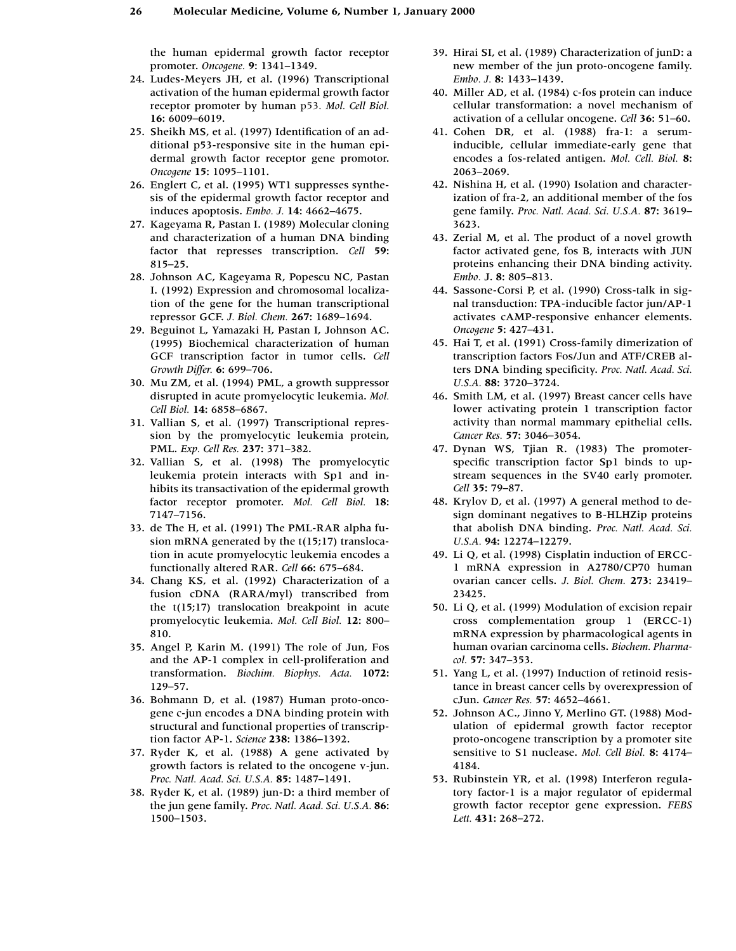the human epidermal growth factor receptor promoter. *Oncogene.* **9:** 1341–1349.

- 24. Ludes-Meyers JH, et al. (1996) Transcriptional activation of the human epidermal growth factor receptor promoter by human p53. *Mol. Cell Biol.* **16:** 6009–6019.
- 25. Sheikh MS, et al. (1997) Identification of an additional p53-responsive site in the human epidermal growth factor receptor gene promotor. *Oncogene* **15:** 1095–1101.
- 26. Englert C, et al. (1995) WT1 suppresses synthesis of the epidermal growth factor receptor and induces apoptosis. *Embo. J.* **14:** 4662–4675.
- 27. Kageyama R, Pastan I. (1989) Molecular cloning and characterization of a human DNA binding factor that represses transcription. *Cell* **59:**  815–25.
- 28. Johnson AC, Kageyama R, Popescu NC, Pastan I. (1992) Expression and chromosomal localization of the gene for the human transcriptional repressor GCF. *J. Biol. Chem.* **267:** 1689–1694.
- 29. Beguinot L, Yamazaki H, Pastan I, Johnson AC. (1995) Biochemical characterization of human GCF transcription factor in tumor cells. *Cell Growth Differ.* **6:** 699–706.
- 30. Mu ZM, et al. (1994) PML, a growth suppressor disrupted in acute promyelocytic leukemia. *Mol. Cell Biol.* **14:** 6858–6867.
- 31. Vallian S, et al. (1997) Transcriptional repression by the promyelocytic leukemia protein, PML. *Exp. Cell Res.* **237:** 371–382.
- 32. Vallian S, et al. (1998) The promyelocytic leukemia protein interacts with Sp1 and inhibits its transactivation of the epidermal growth factor receptor promoter. *Mol. Cell Biol.* **18:** 7147–7156.
- 33. de The H, et al. (1991) The PML-RAR alpha fusion mRNA generated by the t(15;17) translocation in acute promyelocytic leukemia encodes a functionally altered RAR. *Cell* **66:** 675–684.
- 34. Chang KS, et al. (1992) Characterization of a fusion cDNA (RARA/myl) transcribed from the t(15;17) translocation breakpoint in acute promyelocytic leukemia. *Mol. Cell Biol.* **12:** 800– 810.
- 35. Angel P, Karin M. (1991) The role of Jun, Fos and the AP-1 complex in cell-proliferation and transformation. *Biochim. Biophys. Acta.* **1072:**  129–57.
- 36. Bohmann D, et al. (1987) Human proto-oncogene c-jun encodes a DNA binding protein with structural and functional properties of transcription factor AP-1. *Science* **238:** 1386–1392.
- 37. Ryder K, et al. (1988) A gene activated by growth factors is related to the oncogene v-jun. *Proc. Natl. Acad. Sci. U.S.A.* **85:** 1487–1491.
- 38. Ryder K, et al. (1989) jun-D: a third member of the jun gene family. *Proc. Natl. Acad. Sci. U.S.A.* **86:** 1500–1503.
- 39. Hirai SI, et al. (1989) Characterization of junD: a new member of the jun proto-oncogene family. *Embo. J.* **8:** 1433–1439.
- 40. Miller AD, et al. (1984) c-fos protein can induce cellular transformation: a novel mechanism of activation of a cellular oncogene. *Cell* **36:** 51–60.
- 41. Cohen DR, et al. (1988) fra-1: a seruminducible, cellular immediate-early gene that encodes a fos-related antigen. *Mol. Cell. Biol.* **8:** 2063–2069.
- 42. Nishina H, et al. (1990) Isolation and characterization of fra-2, an additional member of the fos gene family. *Proc. Natl. Acad. Sci. U.S.A.* **87:** 3619– 3623.
- 43. Zerial M, et al. The product of a novel growth factor activated gene, fos B, interacts with JUN proteins enhancing their DNA binding activity. *Embo.* J. **8:** 805–813.
- 44. Sassone-Corsi P, et al. (1990) Cross-talk in signal transduction: TPA-inducible factor jun/AP-1 activates cAMP-responsive enhancer elements. *Oncogene* **5:** 427–431.
- 45. Hai T, et al. (1991) Cross-family dimerization of transcription factors Fos/Jun and ATF/CREB alters DNA binding specificity. *Proc. Natl. Acad. Sci. U.S.A.* **88:** 3720–3724.
- 46. Smith LM, et al. (1997) Breast cancer cells have lower activating protein 1 transcription factor activity than normal mammary epithelial cells. *Cancer Res.* **57:** 3046–3054.
- 47. Dynan WS, Tjian R. (1983) The promoterspecific transcription factor Sp1 binds to upstream sequences in the SV40 early promoter. *Cell* **35:** 79–87.
- 48. Krylov D, et al. (1997) A general method to design dominant negatives to B-HLHZip proteins that abolish DNA binding. *Proc. Natl. Acad. Sci. U.S.A.* **94:** 12274–12279.
- 49. Li Q, et al. (1998) Cisplatin induction of ERCC-1 mRNA expression in A2780/CP70 human ovarian cancer cells. *J. Biol. Chem.* **273:** 23419– 23425.
- 50. Li Q, et al. (1999) Modulation of excision repair cross complementation group 1 (ERCC-1) mRNA expression by pharmacological agents in human ovarian carcinoma cells. *Biochem. Pharmacol.* **57:** 347–353.
- 51. Yang L, et al. (1997) Induction of retinoid resistance in breast cancer cells by overexpression of cJun. *Cancer Res.* **57:** 4652–4661.
- 52. Johnson AC., Jinno Y, Merlino GT. (1988) Modulation of epidermal growth factor receptor proto-oncogene transcription by a promoter site sensitive to S1 nuclease. *Mol. Cell Biol.* **8:** 4174– 4184.
- 53. Rubinstein YR, et al. (1998) Interferon regulatory factor-1 is a major regulator of epidermal growth factor receptor gene expression. *FEBS Lett.* **431:** 268–272.